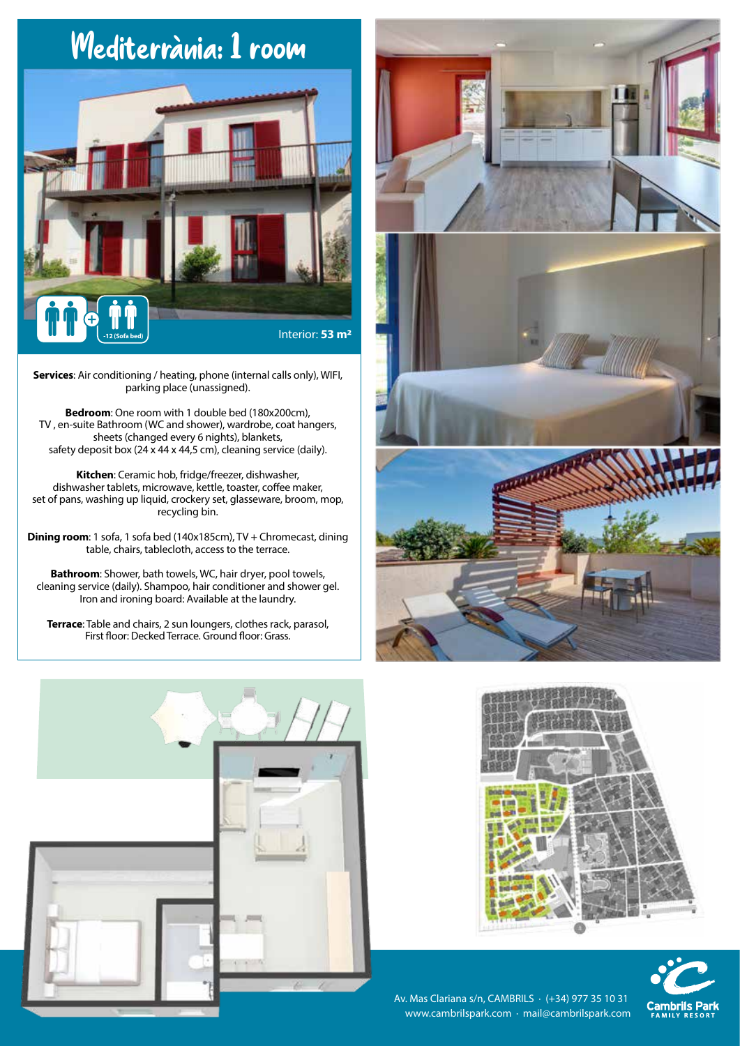## Mediterrània: 1 room Interior: **53 m<sup>2</sup>**

**Services**: Air conditioning / heating, phone (internal calls only), WIFI, parking place (unassigned).

**Bedroom**: One room with 1 double bed (180x200cm), TV , en-suite Bathroom (WC and shower), wardrobe, coat hangers, sheets (changed every 6 nights), blankets, safety deposit box (24 x 44 x 44,5 cm), cleaning service (daily).

**Kitchen**: Ceramic hob, fridge/freezer, dishwasher, dishwasher tablets, microwave, kettle, toaster, coffee maker, set of pans, washing up liquid, crockery set, glasseware, broom, mop, recycling bin.

**Dining room**: 1 sofa, 1 sofa bed (140x185cm), TV + Chromecast, dining table, chairs, tablecloth, access to the terrace.

**Bathroom**: Shower, bath towels, WC, hair dryer, pool towels, cleaning service (daily). Shampoo, hair conditioner and shower gel. Iron and ironing board: Available at the laundry.

**Terrace**: Table and chairs, 2 sun loungers, clothes rack, parasol, First floor: Decked Terrace. Ground floor: Grass.









Av. Mas Clariana s/n, CAMBRILS · (+34) 977 35 10 31 www.cambrilspark.com · mail@cambrilspark.com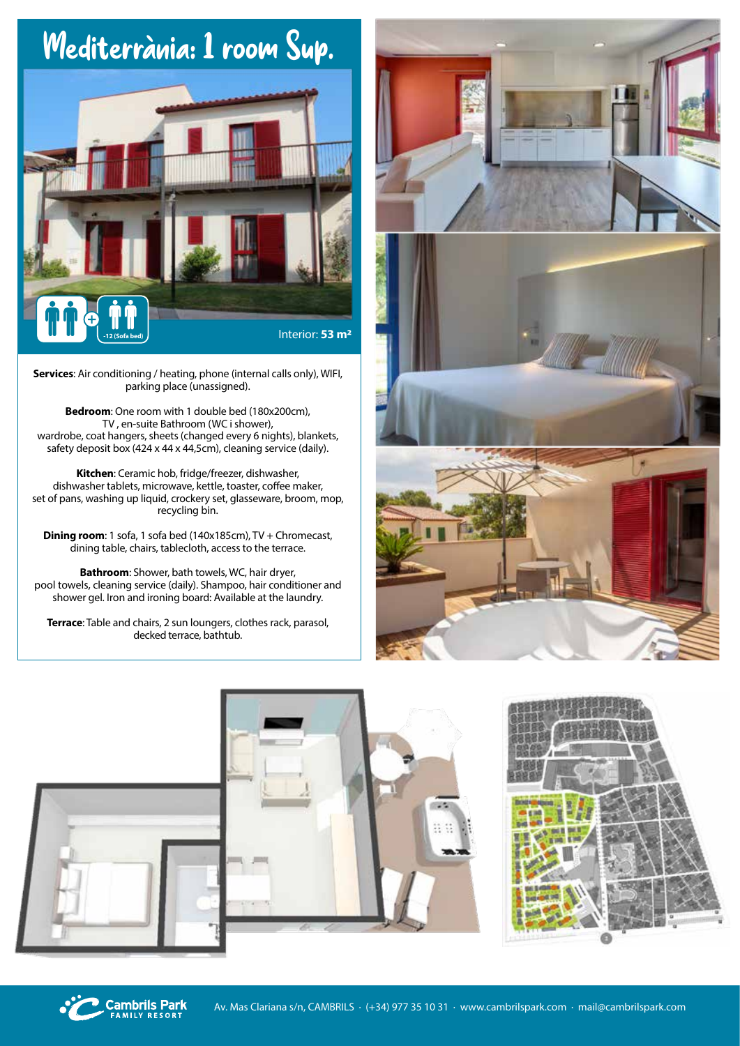## Mediterrània: 1 room Sup.



**Services**: Air conditioning / heating, phone (internal calls only), WIFI, parking place (unassigned).

**Bedroom**: One room with 1 double bed (180x200cm), TV , en-suite Bathroom (WC i shower), wardrobe, coat hangers, sheets (changed every 6 nights), blankets, safety deposit box (424 x 44 x 44,5cm), cleaning service (daily).

**Kitchen**: Ceramic hob, fridge/freezer, dishwasher, dishwasher tablets, microwave, kettle, toaster, coffee maker, set of pans, washing up liquid, crockery set, glasseware, broom, mop, recycling bin.

**Dining room**: 1 sofa, 1 sofa bed (140x185cm), TV + Chromecast, dining table, chairs, tablecloth, access to the terrace.

**Bathroom**: Shower, bath towels, WC, hair dryer, pool towels, cleaning service (daily). Shampoo, hair conditioner and shower gel. Iron and ironing board: Available at the laundry.

**Terrace**: Table and chairs, 2 sun loungers, clothes rack, parasol, decked terrace, bathtub.





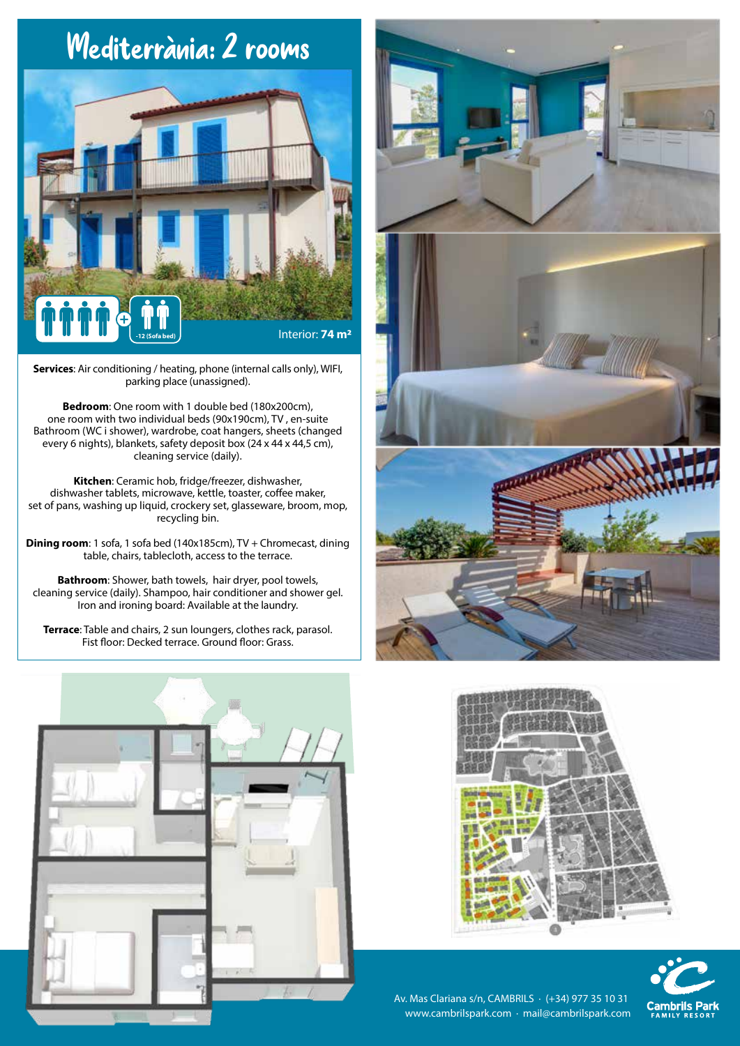## Mediterrània: 2 rooms



**Services**: Air conditioning / heating, phone (internal calls only), WIFI, parking place (unassigned).

**Bedroom**: One room with 1 double bed (180x200cm), one room with two individual beds (90x190cm), TV , en-suite Bathroom (WC i shower), wardrobe, coat hangers, sheets (changed every 6 nights), blankets, safety deposit box (24 x 44 x 44,5 cm), cleaning service (daily).

**Kitchen**: Ceramic hob, fridge/freezer, dishwasher, dishwasher tablets, microwave, kettle, toaster, coffee maker, set of pans, washing up liquid, crockery set, glasseware, broom, mop, recycling bin.

**Dining room**: 1 sofa, 1 sofa bed (140x185cm), TV + Chromecast, dining table, chairs, tablecloth, access to the terrace.

**Bathroom**: Shower, bath towels, hair dryer, pool towels, cleaning service (daily). Shampoo, hair conditioner and shower gel. Iron and ironing board: Available at the laundry.

**Terrace**: Table and chairs, 2 sun loungers, clothes rack, parasol. Fist floor: Decked terrace. Ground floor: Grass.









Av. Mas Clariana s/n, CAMBRILS · (+34) 977 35 10 31 www.cambrilspark.com · mail@cambrilspark.com